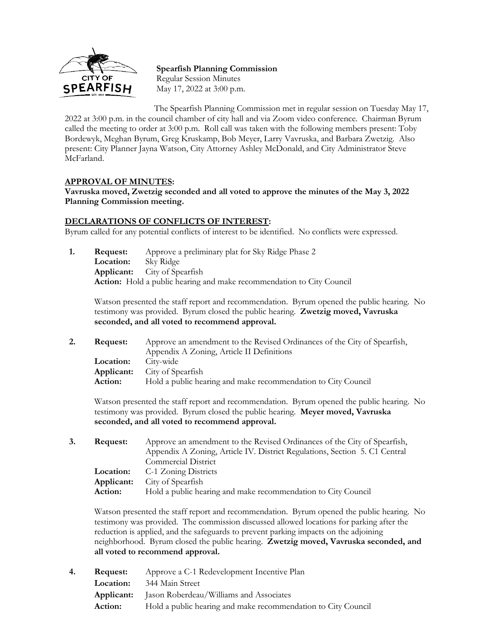

**Spearfish Planning Commission** Regular Session Minutes May 17, 2022 at 3:00 p.m.

The Spearfish Planning Commission met in regular session on Tuesday May 17, 2022 at 3:00 p.m. in the council chamber of city hall and via Zoom video conference. Chairman Byrum called the meeting to order at 3:00 p.m. Roll call was taken with the following members present: Toby Bordewyk, Meghan Byrum, Greg Kruskamp, Bob Meyer, Larry Vavruska, and Barbara Zwetzig. Also present: City Planner Jayna Watson, City Attorney Ashley McDonald, and City Administrator Steve McFarland.

## **APPROVAL OF MINUTES:**

**Vavruska moved, Zwetzig seconded and all voted to approve the minutes of the May 3, 2022 Planning Commission meeting.**

## **DECLARATIONS OF CONFLICTS OF INTEREST:**

Byrum called for any potential conflicts of interest to be identified. No conflicts were expressed.

**1. Request:** Approve a preliminary plat for Sky Ridge Phase 2 **Location:** Sky Ridge **Applicant:** City of Spearfish **Action:** Hold a public hearing and make recommendation to City Council

Watson presented the staff report and recommendation. Byrum opened the public hearing. No testimony was provided. Byrum closed the public hearing. **Zwetzig moved, Vavruska seconded, and all voted to recommend approval.**

**2. Request:** Approve an amendment to the Revised Ordinances of the City of Spearfish, Appendix A Zoning, Article II Definitions **Location:** City-wide **Applicant:** City of Spearfish Action: Hold a public hearing and make recommendation to City Council

Watson presented the staff report and recommendation. Byrum opened the public hearing. No testimony was provided. Byrum closed the public hearing. **Meyer moved, Vavruska seconded, and all voted to recommend approval.**

| 3. | Request:       | Approve an amendment to the Revised Ordinances of the City of Spearfish,   |
|----|----------------|----------------------------------------------------------------------------|
|    |                | Appendix A Zoning, Article IV. District Regulations, Section 5. C1 Central |
|    |                | Commercial District                                                        |
|    |                | <b>Location:</b> C-1 Zoning Districts                                      |
|    | Applicant:     | City of Spearfish                                                          |
|    | <b>Action:</b> | Hold a public hearing and make recommendation to City Council              |

Watson presented the staff report and recommendation. Byrum opened the public hearing. No testimony was provided. The commission discussed allowed locations for parking after the reduction is applied, and the safeguards to prevent parking impacts on the adjoining neighborhood. Byrum closed the public hearing. **Zwetzig moved, Vavruska seconded, and all voted to recommend approval.**

**4. Request:** Approve a C-1 Redevelopment Incentive Plan **Location:** 344 Main Street **Applicant:** Jason Roberdeau/Williams and Associates Action: Hold a public hearing and make recommendation to City Council